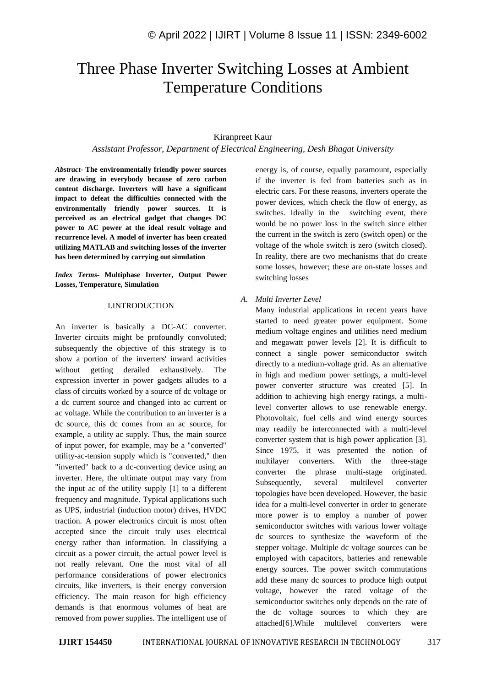# Three Phase Inverter Switching Losses at Ambient Temperature Conditions

## Kiranpreet Kaur

*Assistant Professor, Department of Electrical Engineering, Desh Bhagat University*

*Abstract-* **The environmentally friendly power sources are drawing in everybody because of zero carbon content discharge. Inverters will have a significant impact to defeat the difficulties connected with the environmentally friendly power sources. It is perceived as an electrical gadget that changes DC power to AC power at the ideal result voltage and recurrence level. A model of inverter has been created utilizing MATLAB and switching losses of the inverter has been determined by carrying out simulation**

*Index Terms-* **Multiphase Inverter, Output Power Losses, Temperature, Simulation**

#### I.INTRODUCTION

An inverter is basically a DC-AC converter. Inverter circuits might be profoundly convoluted; subsequently the objective of this strategy is to show a portion of the inverters' inward activities without getting derailed exhaustively. The expression inverter in power gadgets alludes to a class of circuits worked by a source of dc voltage or a dc current source and changed into ac current or ac voltage. While the contribution to an inverter is a dc source, this dc comes from an ac source, for example, a utility ac supply. Thus, the main source of input power, for example, may be a "converted" utility-ac-tension supply which is "converted," then "inverted" back to a dc-converting device using an inverter. Here, the ultimate output may vary from the input ac of the utility supply [1] to a different frequency and magnitude. Typical applications such as UPS, industrial (induction motor) drives, HVDC traction. A power electronics circuit is most often accepted since the circuit truly uses electrical energy rather than information. In classifying a circuit as a power circuit, the actual power level is not really relevant. One the most vital of all performance considerations of power electronics circuits, like inverters, is their energy conversion efficiency. The main reason for high efficiency demands is that enormous volumes of heat are removed from power supplies. The intelligent use of energy is, of course, equally paramount, especially if the inverter is fed from batteries such as in electric cars. For these reasons, inverters operate the power devices, which check the flow of energy, as switches. Ideally in the switching event, there would be no power loss in the switch since either the current in the switch is zero (switch open) or the voltage of the whole switch is zero (switch closed). In reality, there are two mechanisms that do create some losses, however; these are on-state losses and switching losses

### *A. Multi Inverter Level*

Many industrial applications in recent years have started to need greater power equipment. Some medium voltage engines and utilities need medium and megawatt power levels [2]. It is difficult to connect a single power semiconductor switch directly to a medium-voltage grid. As an alternative in high and medium power settings, a multi-level power converter structure was created [5]. In addition to achieving high energy ratings, a multilevel converter allows to use renewable energy. Photovoltaic, fuel cells and wind energy sources may readily be interconnected with a multi-level converter system that is high power application [3]. Since 1975, it was presented the notion of multilayer converters. With the three-stage converter the phrase multi-stage originated. Subsequently, several multilevel converter topologies have been developed. However, the basic idea for a multi-level converter in order to generate more power is to employ a number of power semiconductor switches with various lower voltage dc sources to synthesize the waveform of the stepper voltage. Multiple dc voltage sources can be employed with capacitors, batteries and renewable energy sources. The power switch commutations add these many dc sources to produce high output voltage, however the rated voltage of the semiconductor switches only depends on the rate of the dc voltage sources to which they are attached[6].While multilevel converters were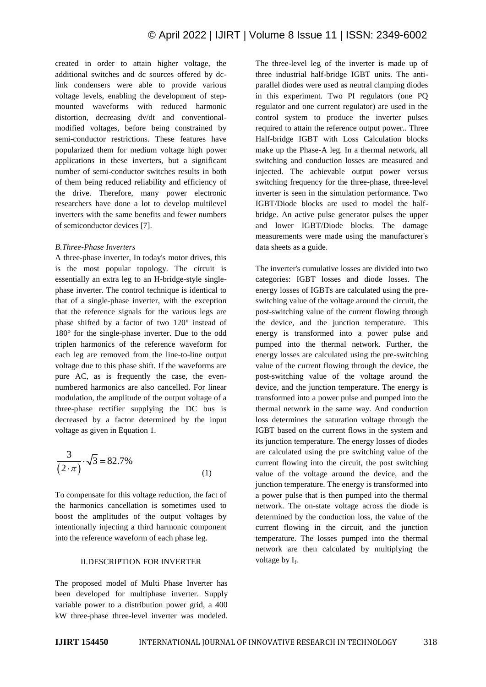created in order to attain higher voltage, the additional switches and dc sources offered by dclink condensers were able to provide various voltage levels, enabling the development of stepmounted waveforms with reduced harmonic distortion, decreasing dv/dt and conventionalmodified voltages, before being constrained by semi-conductor restrictions. These features have popularized them for medium voltage high power applications in these inverters, but a significant number of semi-conductor switches results in both of them being reduced reliability and efficiency of the drive. Therefore, many power electronic researchers have done a lot to develop multilevel inverters with the same benefits and fewer numbers of semiconductor devices [7].

#### *B.Three-Phase Inverters*

A three-phase inverter, In today's motor drives, this is the most popular topology. The circuit is essentially an extra leg to an H-bridge-style singlephase inverter. The control technique is identical to that of a single-phase inverter, with the exception that the reference signals for the various legs are phase shifted by a factor of two 120° instead of 180° for the single-phase inverter. Due to the odd triplen harmonics of the reference waveform for each leg are removed from the line-to-line output voltage due to this phase shift. If the waveforms are pure AC, as is frequently the case, the evennumbered harmonics are also cancelled. For linear modulation, the amplitude of the output voltage of a three-phase rectifier supplying the DC bus is decreased by a factor determined by the input voltage as given in Equation 1.

$$
\frac{3}{(2 \cdot \pi)} \cdot \sqrt{3} = 82.7\%
$$
 (1)

To compensate for this voltage reduction, the fact of the harmonics cancellation is sometimes used to boost the amplitudes of the output voltages by intentionally injecting a third harmonic component into the reference waveform of each phase leg.

#### II.DESCRIPTION FOR INVERTER

The proposed model of Multi Phase Inverter has been developed for multiphase inverter. Supply variable power to a distribution power grid, a 400 kW three-phase three-level inverter was modeled.

The three-level leg of the inverter is made up of three industrial half-bridge IGBT units. The antiparallel diodes were used as neutral clamping diodes in this experiment. Two PI regulators (one PQ regulator and one current regulator) are used in the control system to produce the inverter pulses required to attain the reference output power.. Three Half-bridge IGBT with Loss Calculation blocks make up the Phase-A leg. In a thermal network, all switching and conduction losses are measured and injected. The achievable output power versus switching frequency for the three-phase, three-level inverter is seen in the simulation performance. Two IGBT/Diode blocks are used to model the halfbridge. An active pulse generator pulses the upper and lower IGBT/Diode blocks. The damage measurements were made using the manufacturer's data sheets as a guide.

The inverter's cumulative losses are divided into two categories: IGBT losses and diode losses. The energy losses of IGBTs are calculated using the preswitching value of the voltage around the circuit, the post-switching value of the current flowing through the device, and the junction temperature. This energy is transformed into a power pulse and pumped into the thermal network. Further, the energy losses are calculated using the pre-switching value of the current flowing through the device, the post-switching value of the voltage around the device, and the junction temperature. The energy is transformed into a power pulse and pumped into the thermal network in the same way. And conduction loss determines the saturation voltage through the IGBT based on the current flows in the system and its junction temperature. The energy losses of diodes are calculated using the pre switching value of the current flowing into the circuit, the post switching value of the voltage around the device, and the junction temperature. The energy is transformed into a power pulse that is then pumped into the thermal network. The on-state voltage across the diode is determined by the conduction loss, the value of the current flowing in the circuit, and the junction temperature. The losses pumped into the thermal network are then calculated by multiplying the voltage by I<sub>f</sub>.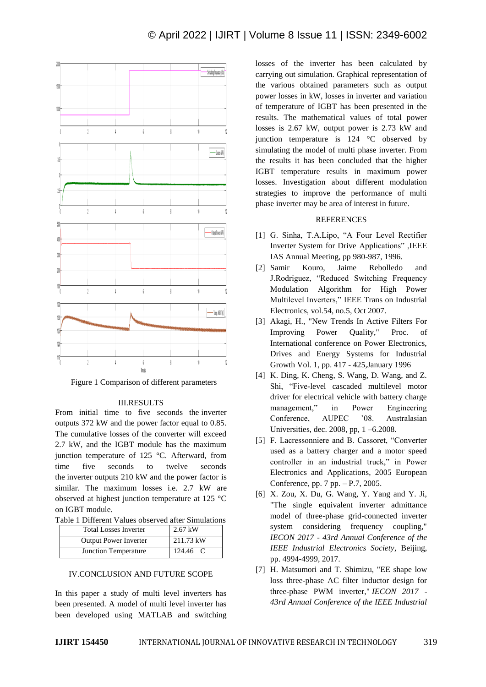

Figure 1 Comparison of different parameters

#### III.RESULTS

From initial time to five seconds the inverter outputs 372 kW and the power factor equal to 0.85. The cumulative losses of the converter will exceed 2.7 kW, and the IGBT module has the maximum junction temperature of 125 °C. Afterward, from time five seconds to twelve seconds the inverter outputs 210 kW and the power factor is similar. The maximum losses i.e. 2.7 kW are observed at highest junction temperature at 125 °C on IGBT module.

|  | Table 1 Different Values observed after Simulations |  |  |  |  |  |
|--|-----------------------------------------------------|--|--|--|--|--|
|--|-----------------------------------------------------|--|--|--|--|--|

| <b>Total Losses Inverter</b> | $2.67$ kW |  |  |
|------------------------------|-----------|--|--|
| <b>Output Power Inverter</b> | 211.73 kW |  |  |
| Junction Temperature         | 124.46 C  |  |  |

#### IV.CONCLUSION AND FUTURE SCOPE

In this paper a study of multi level inverters has been presented. A model of multi level inverter has been developed using MATLAB and switching

losses of the inverter has been calculated by carrying out simulation. Graphical representation of the various obtained parameters such as output power losses in kW, losses in inverter and variation of temperature of IGBT has been presented in the results. The mathematical values of total power losses is 2.67 kW, output power is 2.73 kW and junction temperature is 124 °C observed by simulating the model of multi phase inverter. From the results it has been concluded that the higher IGBT temperature results in maximum power losses. Investigation about different modulation strategies to improve the performance of multi phase inverter may be area of interest in future.

#### **REFERENCES**

- [1] G. Sinha, T.A.Lipo, "A Four Level Rectifier Inverter System for Drive Applications" ,IEEE IAS Annual Meeting, pp 980-987, 1996.
- [2] Samir Kouro, Jaime Rebolledo and J.Rodriguez, "Reduced Switching Frequency Modulation Algorithm for High Power Multilevel Inverters," IEEE Trans on Industrial Electronics, vol.54, no.5, Oct 2007.
- [3] Akagi, H., "New Trends In Active Filters For Improving Power Quality," Proc. of International conference on Power Electronics, Drives and Energy Systems for Industrial Growth Vol. 1, pp. 417 - 425,January 1996
- [4] K. Ding, K. Cheng, S. Wang, D. Wang, and Z. Shi, "Five-level cascaded multilevel motor driver for electrical vehicle with battery charge management," in Power Engineering Conference, AUPEC '08. Australasian Universities, dec. 2008, pp, 1 –6.2008.
- [5] F. Lacressonniere and B. Cassoret, "Converter used as a battery charger and a motor speed controller in an industrial truck," in Power Electronics and Applications, 2005 European Conference, pp. 7 pp. – P.7, 2005.
- [6] X. Zou, X. Du, G. Wang, Y. Yang and Y. Ji, "The single equivalent inverter admittance model of three-phase grid-connected inverter system considering frequency coupling," *IECON 2017 - 43rd Annual Conference of the IEEE Industrial Electronics Society*, Beijing, pp. 4994-4999, 2017.
- [7] H. Matsumori and T. Shimizu, "EE shape low loss three-phase AC filter inductor design for three-phase PWM inverter," *IECON 2017 - 43rd Annual Conference of the IEEE Industrial*